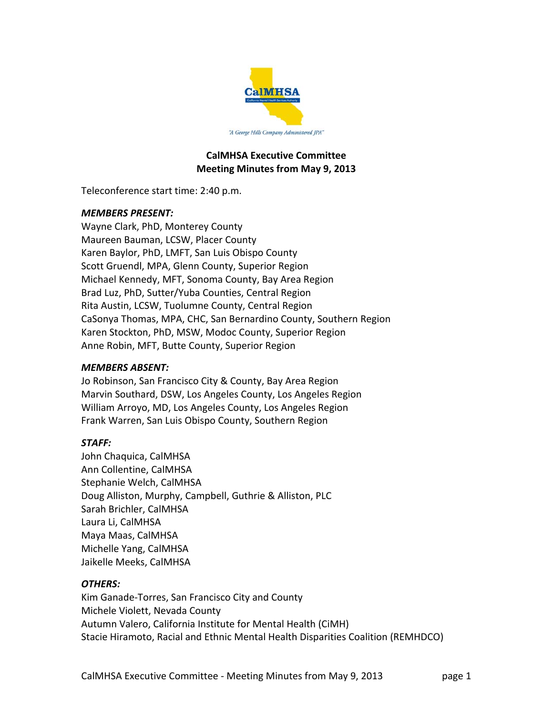

#### **CalMHSA Executive Committee Meeting Minutes from May 9, 2013**

Teleconference start time: 2:40 p.m.

## *MEMBERS PRESENT:*

Wayne Clark, PhD, Monterey County Maureen Bauman, LCSW, Placer County Karen Baylor, PhD, LMFT, San Luis Obispo County Scott Gruendl, MPA, Glenn County, Superior Region Michael Kennedy, MFT, Sonoma County, Bay Area Region Brad Luz, PhD, Sutter/Yuba Counties, Central Region Rita Austin, LCSW, Tuolumne County, Central Region CaSonya Thomas, MPA, CHC, San Bernardino County, Southern Region Karen Stockton, PhD, MSW, Modoc County, Superior Region Anne Robin, MFT, Butte County, Superior Region

## *MEMBERS ABSENT:*

Jo Robinson, San Francisco City & County, Bay Area Region Marvin Southard, DSW, Los Angeles County, Los Angeles Region William Arroyo, MD, Los Angeles County, Los Angeles Region Frank Warren, San Luis Obispo County, Southern Region

# *STAFF:*

John Chaquica, CalMHSA Ann Collentine, CalMHSA Stephanie Welch, CalMHSA Doug Alliston, Murphy, Campbell, Guthrie & Alliston, PLC Sarah Brichler, CalMHSA Laura Li, CalMHSA Maya Maas, CalMHSA Michelle Yang, CalMHSA Jaikelle Meeks, CalMHSA

## *OTHERS:*

Kim Ganade‐Torres, San Francisco City and County Michele Violett, Nevada County Autumn Valero, California Institute for Mental Health (CiMH) Stacie Hiramoto, Racial and Ethnic Mental Health Disparities Coalition (REMHDCO)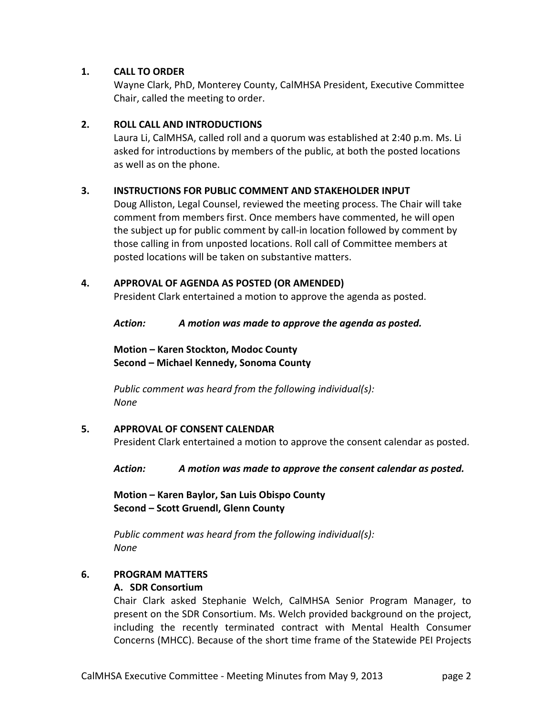## **1. CALL TO ORDER**

Wayne Clark, PhD, Monterey County, CalMHSA President, Executive Committee Chair, called the meeting to order.

## **2. ROLL CALL AND INTRODUCTIONS**

Laura Li, CalMHSA, called roll and a quorum was established at 2:40 p.m. Ms. Li asked for introductions by members of the public, at both the posted locations as well as on the phone.

## **3. INSTRUCTIONS FOR PUBLIC COMMENT AND STAKEHOLDER INPUT**

Doug Alliston, Legal Counsel, reviewed the meeting process. The Chair will take comment from members first. Once members have commented, he will open the subject up for public comment by call‐in location followed by comment by those calling in from unposted locations. Roll call of Committee members at posted locations will be taken on substantive matters.

## **4. APPROVAL OF AGENDA AS POSTED (OR AMENDED)**

President Clark entertained a motion to approve the agenda as posted.

*Action: A motion was made to approve the agenda as posted.*

**Motion – Karen Stockton, Modoc County Second – Michael Kennedy, Sonoma County**

*Public comment was heard from the following individual(s): None*

## **5. APPROVAL OF CONSENT CALENDAR**

President Clark entertained a motion to approve the consent calendar as posted.

*Action: A motion was made to approve the consent calendar as posted.*

**Motion – Karen Baylor, San Luis Obispo County Second – Scott Gruendl, Glenn County**

*Public comment was heard from the following individual(s): None*

## **6. PROGRAM MATTERS**

## **A. SDR Consortium**

Chair Clark asked Stephanie Welch, CalMHSA Senior Program Manager, to present on the SDR Consortium. Ms. Welch provided background on the project, including the recently terminated contract with Mental Health Consumer Concerns (MHCC). Because of the short time frame of the Statewide PEI Projects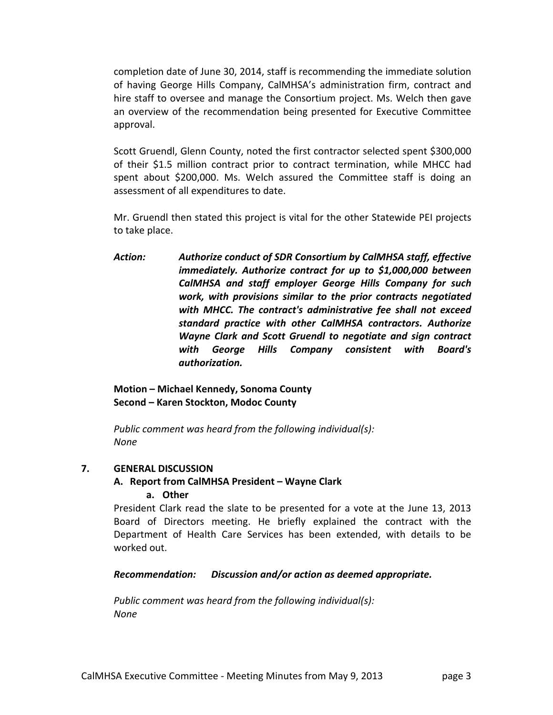completion date of June 30, 2014, staff is recommending the immediate solution of having George Hills Company, CalMHSA's administration firm, contract and hire staff to oversee and manage the Consortium project. Ms. Welch then gave an overview of the recommendation being presented for Executive Committee approval.

Scott Gruendl, Glenn County, noted the first contractor selected spent \$300,000 of their \$1.5 million contract prior to contract termination, while MHCC had spent about \$200,000. Ms. Welch assured the Committee staff is doing an assessment of all expenditures to date.

Mr. Gruendl then stated this project is vital for the other Statewide PEI projects to take place.

*Action: Authorize conduct of SDR Consortium by CalMHSA staff, effective immediately. Authorize contract for up to \$1,000,000 between CalMHSA and staff employer George Hills Company for such work, with provisions similar to the prior contracts negotiated with MHCC. The contract's administrative fee shall not exceed standard practice with other CalMHSA contractors. Authorize Wayne Clark and Scott Gruendl to negotiate and sign contract with George Hills Company consistent with Board's authorization.*

# **Motion – Michael Kennedy, Sonoma County Second – Karen Stockton, Modoc County**

*Public comment was heard from the following individual(s): None*

# **7. GENERAL DISCUSSION**

#### **A. Report from CalMHSA President – Wayne Clark a. Other**

President Clark read the slate to be presented for a vote at the June 13, 2013 Board of Directors meeting. He briefly explained the contract with the Department of Health Care Services has been extended, with details to be worked out.

*Recommendation: Discussion and/or action as deemed appropriate.*

*Public comment was heard from the following individual(s): None*